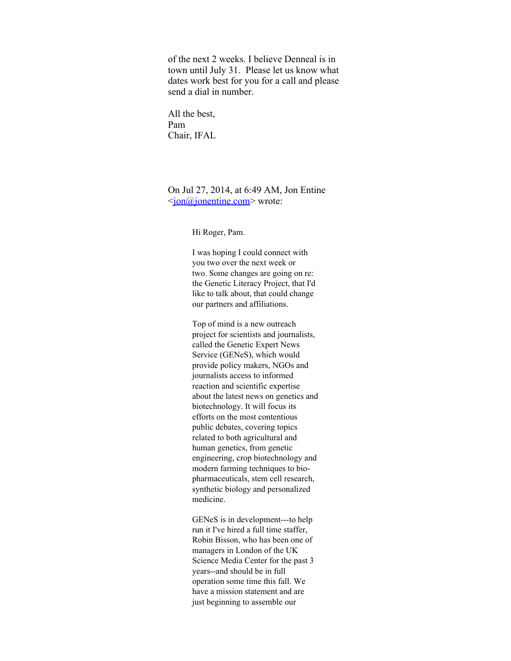of the next 2 weeks. I believe Denneal is in town until July 31. Please let us know what dates work best for you for a call and please send a dial in number.

All the best, Pam Chair, IFAL

On Jul 27, 2014, at 6:49 AM, Jon Entine <jon@jonentine.com> wrote:

Hi Roger, Pam.

I was hoping I could connect with you two over the next week or two. Some changes are going on re: the Genetic Literacy Project, that I'd like to talk about, that could change our partners and affiliations.

Top of mind is a new outreach project for scientists and journalists, called the Genetic Expert News Service (GENeS), which would provide policy makers, NGOs and journalists access to informed reaction and scientific expertise about the latest news on genetics and biotechnology. It will focus its efforts on the most contentious public debates, covering topics related to both agricultural and human genetics, from genetic engineering, crop biotechnology and modern farming techniques to biopharmaceuticals, stem cell research, synthetic biology and personalized medicine.

GENeS is in development---to help run it I've hired a full time staffer, Robin Bisson, who has been one of managers in London of the UK Science Media Center for the past 3 years--and should be in full operation some time this fall. We have a mission statement and are just beginning to assemble our